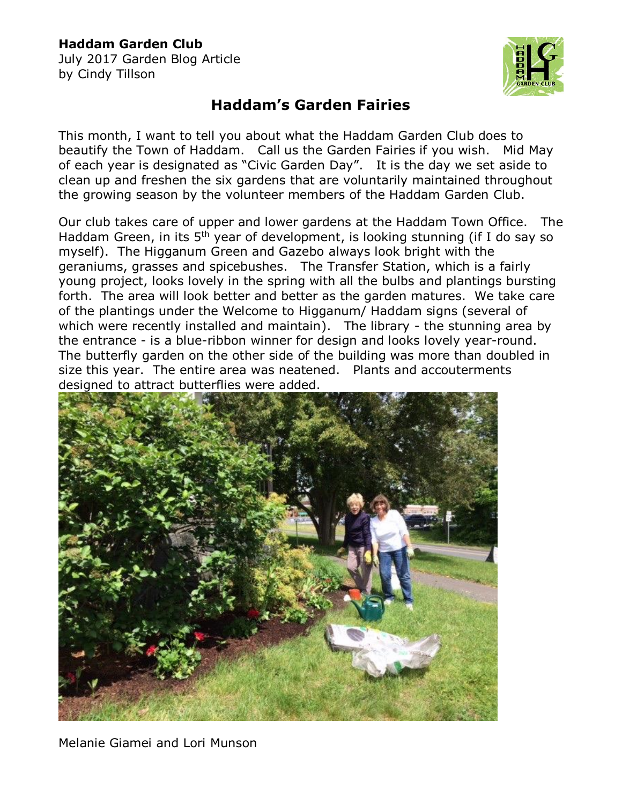## **Haddam Garden Club**

July 2017 Garden Blog Article by Cindy Tillson



## **Haddam's Garden Fairies**

This month, I want to tell you about what the Haddam Garden Club does to beautify the Town of Haddam. Call us the Garden Fairies if you wish. Mid May of each year is designated as "Civic Garden Day". It is the day we set aside to clean up and freshen the six gardens that are voluntarily maintained throughout the growing season by the volunteer members of the Haddam Garden Club.

Our club takes care of upper and lower gardens at the Haddam Town Office. The Haddam Green, in its  $5<sup>th</sup>$  year of development, is looking stunning (if I do say so myself). The Higganum Green and Gazebo always look bright with the geraniums, grasses and spicebushes. The Transfer Station, which is a fairly young project, looks lovely in the spring with all the bulbs and plantings bursting forth. The area will look better and better as the garden matures. We take care of the plantings under the Welcome to Higganum/ Haddam signs (several of which were recently installed and maintain). The library - the stunning area by the entrance - is a blue-ribbon winner for design and looks lovely year-round. The butterfly garden on the other side of the building was more than doubled in size this year. The entire area was neatened. Plants and accouterments designed to attract butterflies were added.



Melanie Giamei and Lori Munson